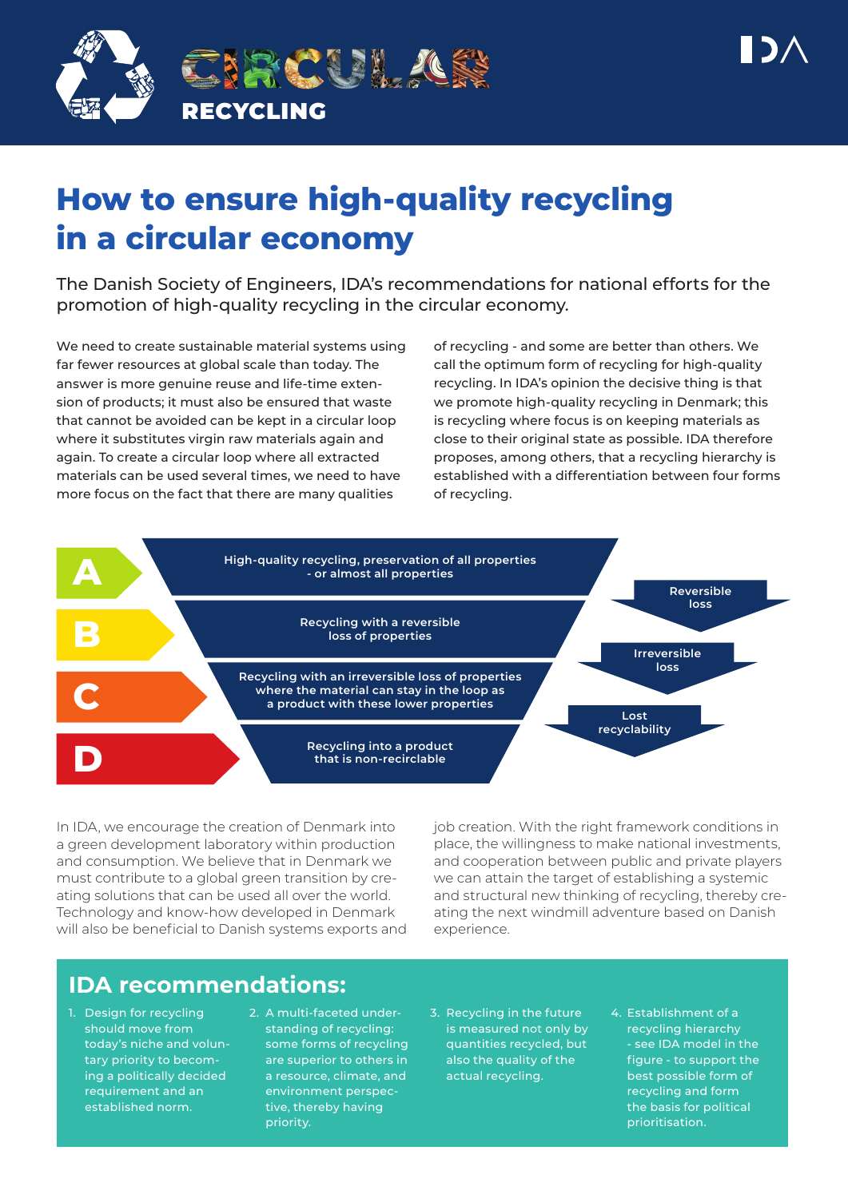

# **How to ensure high-quality recycling in a circular economy**

The Danish Society of Engineers, IDA's recommendations for national efforts for the promotion of high-quality recycling in the circular economy.

We need to create sustainable material systems using far fewer resources at global scale than today. The answer is more genuine reuse and life-time extension of products; it must also be ensured that waste that cannot be avoided can be kept in a circular loop where it substitutes virgin raw materials again and again. To create a circular loop where all extracted materials can be used several times, we need to have more focus on the fact that there are many qualities

of recycling - and some are better than others. We call the optimum form of recycling for high-quality recycling. In IDA's opinion the decisive thing is that we promote high-quality recycling in Denmark; this is recycling where focus is on keeping materials as close to their original state as possible. IDA therefore proposes, among others, that a recycling hierarchy is established with a differentiation between four forms of recycling.



In IDA, we encourage the creation of Denmark into a green development laboratory within production and consumption. We believe that in Denmark we must contribute to a global green transition by creating solutions that can be used all over the world. Technology and know-how developed in Denmark will also be beneficial to Danish systems exports and job creation. With the right framework conditions in place, the willingness to make national investments, and cooperation between public and private players we can attain the target of establishing a systemic and structural new thinking of recycling, thereby creating the next windmill adventure based on Danish experience.

# **IDA recommendations:**

- 1. Design for recycling should move from today's niche and voluntary priority to becoming a politically decided requirement and an established norm.
- 2. A multi-faceted understanding of recycling: some forms of recycling are superior to others in a resource, climate, and environment perspective, thereby having priority.
- 3. Recycling in the future is measured not only by quantities recycled, but also the quality of the actual recycling.
- 4. Establishment of a recycling hierarchy - see IDA model in the figure - to support the best possible form of recycling and form the basis for political prioritisation.